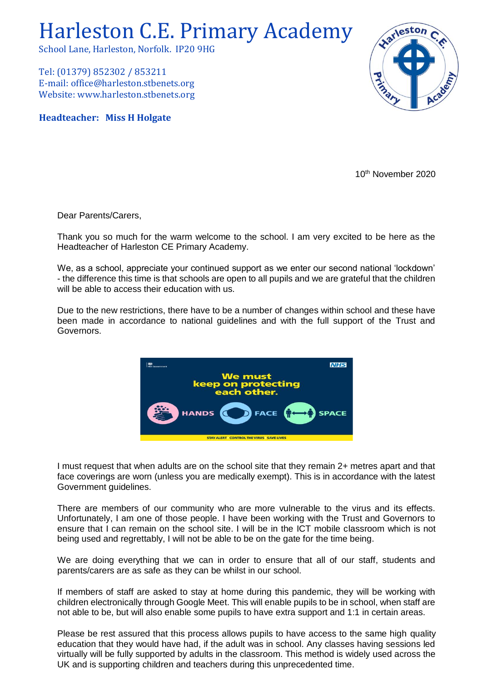## Harleston C.E. Primary Academy

School Lane, Harleston, Norfolk. IP20 9HG

Tel: (01379) 852302 / 853211 E-mail: office@harleston.stbenets.org Website: www.harleston.stbenets.org

**Headteacher: Miss H Holgate**



10th November 2020

Dear Parents/Carers,

Thank you so much for the warm welcome to the school. I am very excited to be here as the Headteacher of Harleston CE Primary Academy.

We, as a school, appreciate your continued support as we enter our second national 'lockdown' - the difference this time is that schools are open to all pupils and we are grateful that the children will be able to access their education with us.

Due to the new restrictions, there have to be a number of changes within school and these have been made in accordance to national guidelines and with the full support of the Trust and Governors.



I must request that when adults are on the school site that they remain 2+ metres apart and that face coverings are worn (unless you are medically exempt). This is in accordance with the latest Government guidelines.

There are members of our community who are more vulnerable to the virus and its effects. Unfortunately, I am one of those people. I have been working with the Trust and Governors to ensure that I can remain on the school site. I will be in the ICT mobile classroom which is not being used and regrettably, I will not be able to be on the gate for the time being.

We are doing everything that we can in order to ensure that all of our staff, students and parents/carers are as safe as they can be whilst in our school.

If members of staff are asked to stay at home during this pandemic, they will be working with children electronically through Google Meet. This will enable pupils to be in school, when staff are not able to be, but will also enable some pupils to have extra support and 1:1 in certain areas.

Please be rest assured that this process allows pupils to have access to the same high quality education that they would have had, if the adult was in school. Any classes having sessions led virtually will be fully supported by adults in the classroom. This method is widely used across the UK and is supporting children and teachers during this unprecedented time.